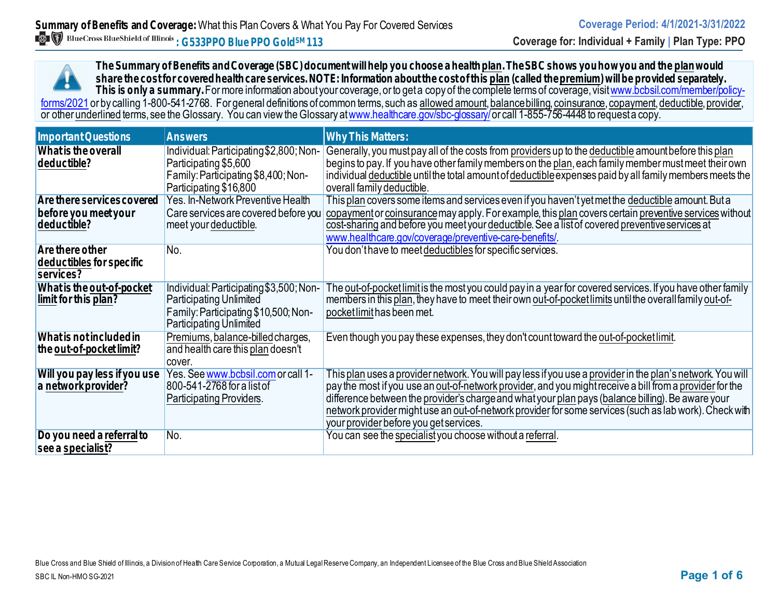**The Summary of Benefits and Coverage (SBC) document will help you choose a health plan. The SBC shows you how you and the planwould share the cost for covered health care services. NOTE: Information about the cost of this plan (called the premium) will be provided separately.** This is only a summary. For more information about your coverage, or to get a copy of the complete terms of coverage, visit www.bcbsil.com/member/policy-<u>forms/2021</u> or by calling 1-800-541-2768. For general definitions of common terms, such as <u>allowed amount, balance billing, coinsurance, copayment, deductible, provider,</u> or other <u>underlined</u> terms, see the Glossary. You can view the Glossary at <u>www.healthcare.gov/sbc-glossary/</u> or call 1-855-756-4448 to request a copy.

| <b>Important Questions</b>                                        | <b>Answers</b>                                                                                                                                      | <b>Why This Matters:</b>                                                                                                                                                                                                                                                                                                                                                                                                                                                        |
|-------------------------------------------------------------------|-----------------------------------------------------------------------------------------------------------------------------------------------------|---------------------------------------------------------------------------------------------------------------------------------------------------------------------------------------------------------------------------------------------------------------------------------------------------------------------------------------------------------------------------------------------------------------------------------------------------------------------------------|
| What is the overall<br>deductible?                                | Individual: Participating \$2,800; Non-<br>Participating \$5,600<br>Family: Participating \$8,400; Non-<br>Participating \$16,800                   | Generally, you must pay all of the costs from providers up to the deductible amount before this plan<br>begins to pay. If you have other family members on the plan, each family member must meet their own<br>individual deductible until the total amount of deductible expenses paid by all family members meets the<br>overall family deductible.                                                                                                                           |
| Are there services covered<br>before you meet your<br>deductible? | Yes. In-Network Preventive Health<br>Care services are covered before you<br>meet your deductible.                                                  | This plan covers some items and services even if you haven't yet met the deductible amount. But a<br>copayment or coinsurance may apply. For example, this plan covers certain preventive services without<br>cost-sharing and before you meet your deductible. See a list of covered preventive services at<br>www.healthcare.gov/coverage/preventive-care-benefits/                                                                                                           |
| Are there other<br>deductibles for specific<br>services?          | No.                                                                                                                                                 | You don't have to meet deductibles for specific services.                                                                                                                                                                                                                                                                                                                                                                                                                       |
| What is the out-of-pocket<br>limit for this plan?                 | Individual: Participating \$3,500; Non-<br><b>Participating Unlimited</b><br>Family: Participating \$10,500; Non-<br><b>Participating Unlimited</b> | The out-of-pocket limit is the most you could pay in a year for covered services. If you have other family<br>members in this plan, they have to meet their own out-of-pocket limits until the overall family out-of-<br>pocket limit has been met.                                                                                                                                                                                                                             |
| What is not included in<br>the out-of-pocket limit?               | Premiums, balance-billed charges,<br>and health care this plan doesn't<br>cover.                                                                    | Even though you pay these expenses, they don't count toward the out-of-pocket limit.                                                                                                                                                                                                                                                                                                                                                                                            |
| Will you pay less if you use<br>a network provider?               | Yes. See www.bcbsil.com or call 1-<br>800-541-2768 for a list of<br>Participating Providers.                                                        | This plan uses a provider network. You will pay less if you use a provider in the plan's network. You will<br>pay the most if you use an out-of-network provider, and you might receive a bill from a provider for the<br>difference between the provider's charge and what your plan pays (balance billing). Be aware your<br>network provider might use an out-of-network provider for some services (such as lab work). Check with<br>your provider before you get services. |
| Do you need a referral to<br>see a specialist?                    | No.                                                                                                                                                 | You can see the specialist you choose without a referral.                                                                                                                                                                                                                                                                                                                                                                                                                       |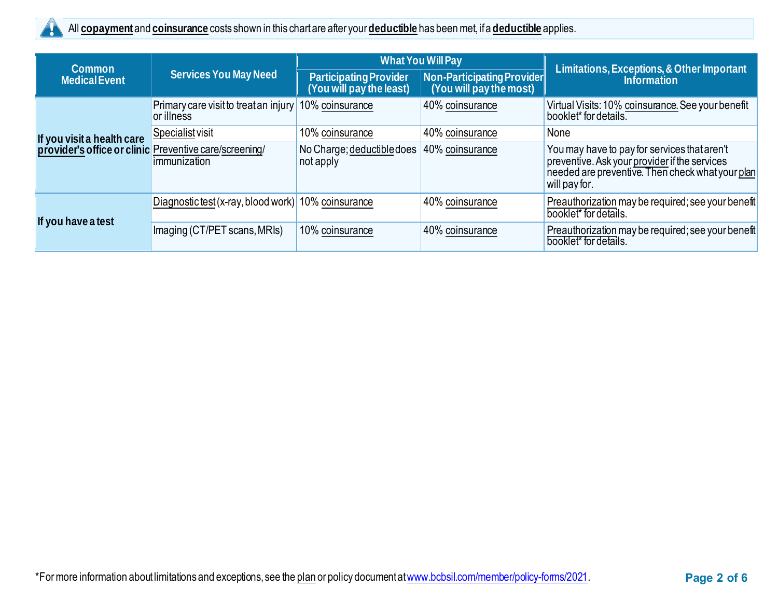

| <b>Common</b>                                                                                                | <b>Services You May Need</b>                        | <b>What You Will Pay</b>                           |                                                       | Limitations, Exceptions, & Other Important                                                                                                                         |  |
|--------------------------------------------------------------------------------------------------------------|-----------------------------------------------------|----------------------------------------------------|-------------------------------------------------------|--------------------------------------------------------------------------------------------------------------------------------------------------------------------|--|
| <b>Medical Event</b>                                                                                         |                                                     | Participating Provider<br>(You will pay the least) | Non-Participating Provider<br>(You will pay the most) | <b>Information</b>                                                                                                                                                 |  |
|                                                                                                              | Primary care visit to treat an injury<br>or illness | 10% coinsurance                                    | 40% coinsurance                                       | Virtual Visits: 10% coinsurance. See your benefit<br>booklet* for details.                                                                                         |  |
|                                                                                                              | Specialist visit                                    | 10% coinsurance                                    | 40% coinsurance                                       | None                                                                                                                                                               |  |
| If you visit a health care <u>Specialist</u> visit<br>provider's office or clinic Preventive care/screening/ | immunization                                        | No Charge; deductible does<br>not apply            | 40% coinsurance                                       | You may have to pay for services that aren't<br>preventive. Ask your provider if the services<br>needed are preventive. Then check what your plan<br>will pay for. |  |
| If you have a test                                                                                           | Diagnostic test (x-ray, blood work) 10% coinsurance |                                                    | 40% coinsurance                                       | Preauthorization may be required; see your benefit<br>booklet* for details.                                                                                        |  |
|                                                                                                              | Imaging (CT/PET scans, MRIs)                        | 10% coinsurance                                    | 40% coinsurance                                       | Preauthorization may be required; see your benefit<br>booklet* for details.                                                                                        |  |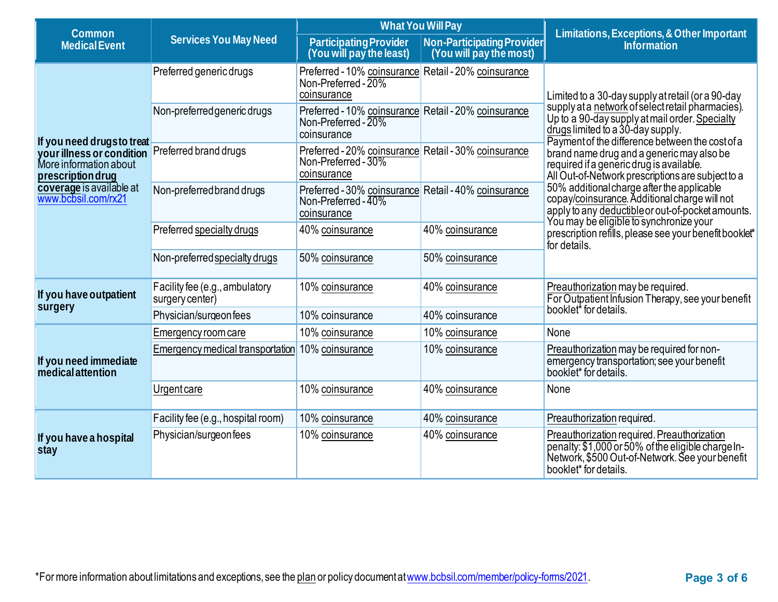| Common                                                                   |                                                   | <b>What You Will Pay</b>                                                                   |                                                       | Limitations, Exceptions, & Other Important                                                                                                                                                  |  |
|--------------------------------------------------------------------------|---------------------------------------------------|--------------------------------------------------------------------------------------------|-------------------------------------------------------|---------------------------------------------------------------------------------------------------------------------------------------------------------------------------------------------|--|
| <b>Medical Event</b>                                                     | <b>Services You May Need</b>                      | <b>Participating Provider</b><br>(You will pay the least)                                  | Non-Participating Provider<br>(You will pay the most) | <b>Information</b>                                                                                                                                                                          |  |
|                                                                          | Preferred generic drugs                           | Preferred - 10% coinsurance Retail - 20% coinsurance<br>Non-Preferred - 20%<br>coinsurance |                                                       | Limited to a 30-day supply at retail (or a 90-day                                                                                                                                           |  |
| If you need drugs to treat                                               | Non-preferred generic drugs                       | Preferred - 10% coinsurance Retail - 20% coinsurance<br>Non-Preferred - 20%<br>coinsurance |                                                       | supply at a network of select retail pharmacies).<br>Up to a 90-day supply at mail order. Specialty<br>drugs limited to a 30-day supply.<br>Payment of the difference between the cost of a |  |
| your illness or condition<br>More information about<br>prescription drug | Preferred brand drugs                             | Preferred - 20% coinsurance Retail - 30% coinsurance<br>Non-Preferred - 30%<br>coinsurance |                                                       | brand name drug and a generic may also be<br>required if a generic drug is available.<br>All Out-of-Network prescriptions are subject to a                                                  |  |
| coverage is available at<br>www.bcbsil.com/rx21                          | Non-preferred brand drugs                         | Preferred - 30% coinsurance Retail - 40% coinsurance<br>Non-Preferred - 40%<br>coinsurance |                                                       | 50% additional charge after the applicable<br>copay/coinsurance. Additional charge will not<br>apply to any deductible or out-of-pocket amounts.                                            |  |
|                                                                          | Preferred specialty drugs                         | 40% coinsurance                                                                            | 40% coinsurance                                       | You may be eligible to synchronize your<br>prescription refills, please see your benefit booklet*<br>for details.                                                                           |  |
|                                                                          | Non-preferred specialty drugs                     | 50% coinsurance                                                                            | 50% coinsurance                                       |                                                                                                                                                                                             |  |
| If you have outpatient                                                   | Facility fee (e.g., ambulatory<br>surgery center) | 10% coinsurance                                                                            | 40% coinsurance                                       | Preauthorization may be required.<br>For Outpatient Infusion Therapy, see your benefit                                                                                                      |  |
| surgery                                                                  | Physician/surgeonfees                             | 10% coinsurance                                                                            | 40% coinsurance                                       | booklet <sup>*</sup> for details.                                                                                                                                                           |  |
|                                                                          | Emergency room care                               | 10% coinsurance                                                                            | 10% coinsurance                                       | None                                                                                                                                                                                        |  |
| If you need immediate<br><i>medical attention</i>                        | Emergency medical transportation                  | 10% coinsurance                                                                            | 10% coinsurance                                       | Preauthorization may be required for non-<br>emergency transportation; see your benefit<br>booklet* for details.                                                                            |  |
|                                                                          | <b>Urgent care</b>                                | 10% coinsurance                                                                            | 40% coinsurance                                       | None                                                                                                                                                                                        |  |
| If you have a hospital<br>stay                                           | Facility fee (e.g., hospital room)                | 10% coinsurance                                                                            | 40% coinsurance                                       | Preauthorization required.                                                                                                                                                                  |  |
|                                                                          | Physician/surgeonfees                             | 10% coinsurance                                                                            | 40% coinsurance                                       | Preauthorization required. Preauthorization<br>penalty: \$1,000 or 50% of the eligible charge In-<br>Network, \$500 Out-of-Network. See your benefit<br>booklet* for details.               |  |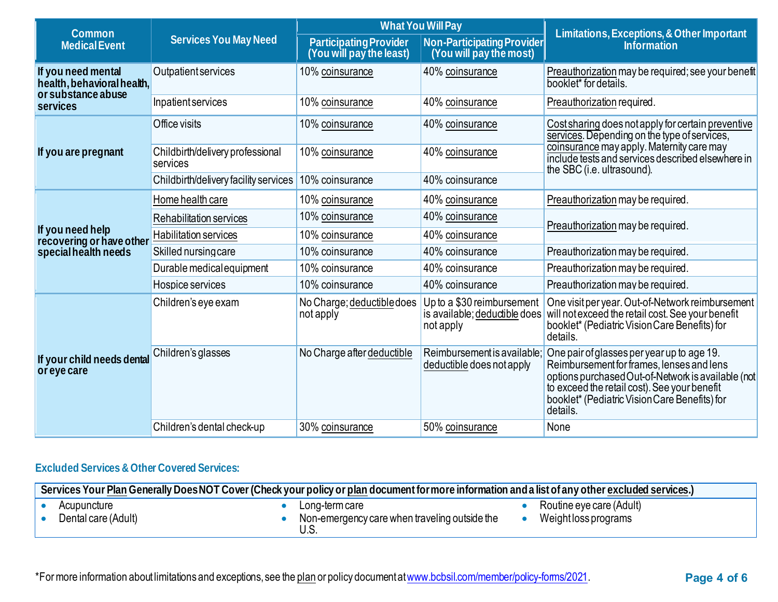| Common                                           |                                              | <b>What You Will Pay</b>                                  |                                                                          | Limitations, Exceptions, & Other Important                                                                                                                                                                                                                 |  |
|--------------------------------------------------|----------------------------------------------|-----------------------------------------------------------|--------------------------------------------------------------------------|------------------------------------------------------------------------------------------------------------------------------------------------------------------------------------------------------------------------------------------------------------|--|
| <b>Medical Event</b>                             | <b>Services You May Need</b>                 | <b>Participating Provider</b><br>(You will pay the least) | Non-Participating Provider<br>(You will pay the most)                    | <b>Information</b>                                                                                                                                                                                                                                         |  |
| If you need mental<br>health, behavioral health, | <b>Outpatient services</b>                   | 10% coinsurance                                           | 40% coinsurance                                                          | Preauthorization may be required; see your benefit<br>booklet* for details.                                                                                                                                                                                |  |
| or substance abuse<br>services                   | Inpatient services                           | 10% coinsurance                                           | 40% coinsurance                                                          | Preauthorization required.                                                                                                                                                                                                                                 |  |
|                                                  | Office visits                                | 10% coinsurance                                           | 40% coinsurance                                                          | Cost sharing does not apply for certain preventive<br>services. Depending on the type of services,                                                                                                                                                         |  |
| If you are pregnant                              | Childbirth/delivery professional<br>services | 10% coinsurance                                           | 40% coinsurance                                                          | coinsurance may apply. Maternity care may<br>include tests and services described elsewhere in<br>the SBC (i.e. ultrasound).                                                                                                                               |  |
|                                                  | Childbirth/delivery facility services        | 10% coinsurance                                           | 40% coinsurance                                                          |                                                                                                                                                                                                                                                            |  |
|                                                  | Home health care                             | 10% coinsurance                                           | 40% coinsurance                                                          | Preauthorization may be required.                                                                                                                                                                                                                          |  |
|                                                  | Rehabilitation services                      | 10% coinsurance                                           | 40% coinsurance                                                          | Preauthorization may be required.                                                                                                                                                                                                                          |  |
| If you need help<br>recovering or have other     | <b>Habilitation services</b>                 | 10% coinsurance                                           | 40% coinsurance                                                          |                                                                                                                                                                                                                                                            |  |
| special health needs                             | Skilled nursing care                         | 10% coinsurance                                           | 40% coinsurance                                                          | Preauthorization may be required.                                                                                                                                                                                                                          |  |
|                                                  | Durable medical equipment                    | 10% coinsurance                                           | 40% coinsurance                                                          | Preauthorization may be required.                                                                                                                                                                                                                          |  |
|                                                  | Hospice services                             | 10% coinsurance                                           | 40% coinsurance                                                          | Preauthorization may be required.                                                                                                                                                                                                                          |  |
| If your child needs dental<br>or eye care        | Children's eye exam                          | No Charge; deductible does<br>not apply                   | Up to a \$30 reimbursement<br>is available; deductible does<br>not apply | One visit per year. Out-of-Network reimbursement<br>will not exceed the retail cost. See your benefit<br>booklet* (Pediatric Vision Care Benefits) for<br>details.                                                                                         |  |
|                                                  | Children's glasses                           | No Charge after deductible                                | Reimbursement is available<br>deductible does not apply                  | One pair of glasses per year up to age 19.<br>Reimbursement for frames, lenses and lens<br>options purchased Out-of-Network is available (not<br>to exceed the retail cost). See your benefit<br>booklet* (Pediatric Vision Care Benefits) for<br>details. |  |
|                                                  | Children's dental check-up                   | 30% coinsurance                                           | 50% coinsurance                                                          | None                                                                                                                                                                                                                                                       |  |

# **Excluded Services & Other Covered Services:**

| Services Your Plan Generally Does NOT Cover (Check your policy or plan document for more information and a list of any other excluded services.) |                                                                        |                                                  |  |  |
|--------------------------------------------------------------------------------------------------------------------------------------------------|------------------------------------------------------------------------|--------------------------------------------------|--|--|
| Acupuncture<br>Dental care (Adult)                                                                                                               | Long-term care<br>Non-emergency care when traveling outside the<br>U.S | Routine eye care (Adult)<br>Weight loss programs |  |  |

\*For more information about limitations and exceptions, see the plan or policy document at www.bcbsil.com/member/policy-forms/2021. **Page 4 of 6**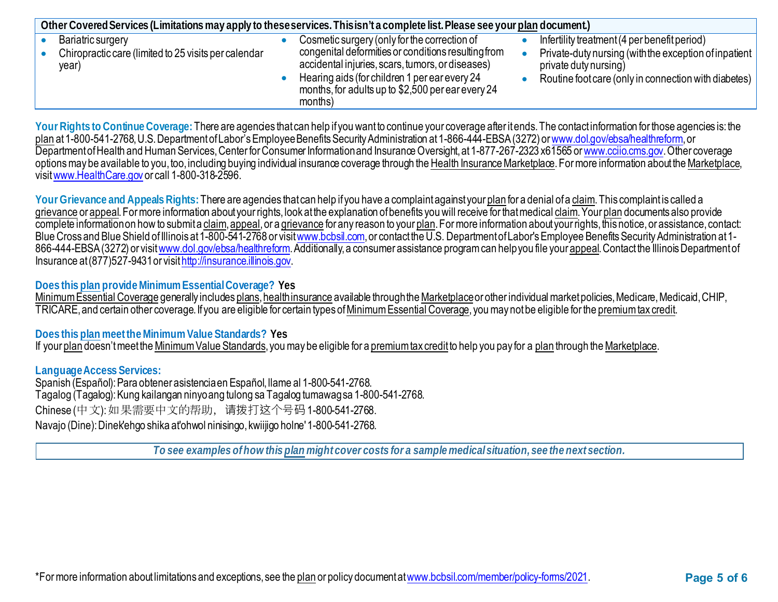| Other Covered Services (Limitations may apply to these services. This isn't a complete list. Please see your plan document.) |  |                                                                                                                                                                                                                          |  |                                                                                                                                        |  |
|------------------------------------------------------------------------------------------------------------------------------|--|--------------------------------------------------------------------------------------------------------------------------------------------------------------------------------------------------------------------------|--|----------------------------------------------------------------------------------------------------------------------------------------|--|
| Bariatric surgery                                                                                                            |  | Cosmetic surgery (only for the correction of                                                                                                                                                                             |  | Infertility treatment (4 per benefit period)                                                                                           |  |
| Chiropractic care (limited to 25 visits per calendar<br>year)                                                                |  | congenital deformities or conditions resulting from<br>accidental injuries, scars, tumors, or diseases)<br>Hearing aids (for children 1 per ear every 24<br>months, for adults up to \$2,500 per ear every 24<br>months) |  | Private-duty nursing (with the exception of inpatient<br>private duty nursing)<br>Routine foot care (only in connection with diabetes) |  |

Your Rights to Continue Coverage: There are agencies that can help if you want to continue your coverage after it ends. The contact information for those agencies is: the plan at 1-800-541-2768, U.S. Department of Labor's Employee Benefits Security Administration at 1-866-444-EBSA (3272) o[r www.dol.gov/ebsa/healthreform](http://www.dol.gov/ebsa/healthreform), or Department of Health and Human Services, Center for Consumer Information and Insurance Oversight, at 1-877-267-2323 x61565 o[r www.cciio.cms.gov](http://www.cciio.cms.gov/). Other coverage options may be available to you, too, including buying individual insurance coverage through the Health Insurance Marketplace. For more information about the Marketplace, visi[t www.HealthCare.gov](http://www.healthcare.gov/) or call 1-800-318-2596.

Your Grievance and Appeals Rights: There are agencies that can help if you have a complaint against your plan for a denial of a claim. This complaint is called a grievance or appeal. For more information about your rights, look at the explanation of benefits you will receive for that medical claim. Your plan documents also provide complete information on how to submit a claim, appeal, or a grievance for any reason to your plan. For more information about your rights, this notice, or assistance, contact: Blue Cross and Blue Shield of Illinois at 1-800-541-2768 or visi[t www.bcbsil.com](http://www.bcbsil.com/), or contact the U.S. Department of Labor's Employee Benefits Security Administration at 1866-444-EBSA (3272) or visi[t www.dol.gov/ebsa/healthreform](http://www.dol.gov/ebsa/healthreform). Additionally, a consumer assistance program can help you file your appeal. Contact the Illinois Department of Insurance at (877)527-9431 or visi[t http://insurance.illinois.gov](http://insurance.illinois.gov/).

## **Does this plan provide Minimum Essential Coverage? Yes**

Minimum Essential Coverage generally includes plans, health insurance available through the Marketplaceor other individual market policies, Medicare, Medicaid, CHIP, TRICARE, and certain other coverage. If you are eligible for certain types of Minimum Essential Coverage, you may not be eligible for the premium tax credit.

## **Does this plan meet the Minimum Value Standards? Yes**

If your plan doesn't meet the Minimum Value Standards, you may be eligible for a premium tax credit to help you pay for a plan through the Marketplace.

## **Language Access Services:**

Spanish (Español): Para obtener asistencia en Español, llame al 1-800-541-2768. Tagalog (Tagalog): Kung kailangan ninyo ang tulong sa Tagalog tumawag sa 1-800-541-2768. Chinese (中文): 如果需要中文的帮助,请拨打这个号码 1-800-541-2768. Navajo (Dine): Dinek'ehgo shika at'ohwol ninisingo, kwiijigo holne' 1-800-541-2768.

*To see examples of how this plan might cover costs for a sample medical situation, see the next section.*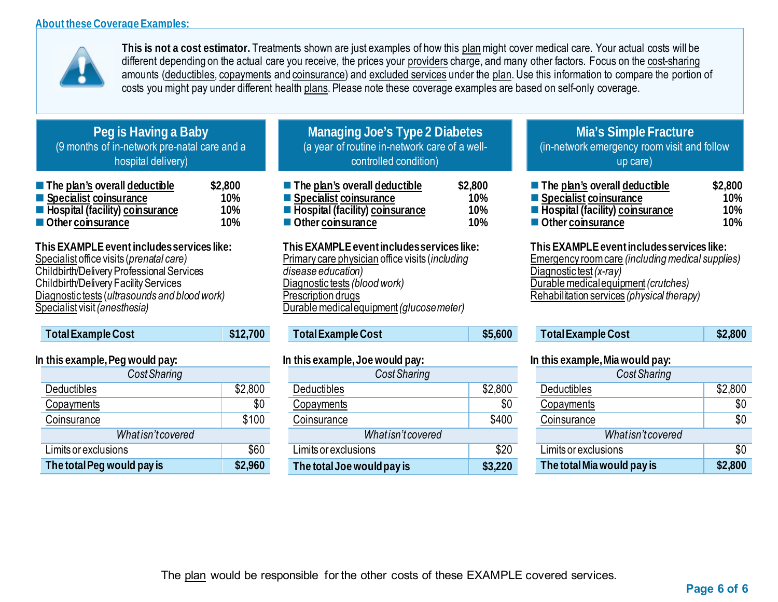

**This is not a cost estimator.** Treatments shown are just examples of how this planmight cover medical care. Your actual costs will be different depending on the actual care you receive, the prices your providers charge, and many other factors. Focus on the cost-sharing amounts (deductibles, copayments and coinsurance) and excluded services under the plan. Use this information to compare the portion of costs you might pay under different health plans. Please note these coverage examples are based on self-only coverage.

# **Peg is Having a Baby** (9 months of in-network pre-natal care and a hospital delivery)

| $\blacksquare$ The plan's overall deductible | \$2,800 |
|----------------------------------------------|---------|
| Specialist coinsurance                       | 10%     |
| <b>E</b> Hospital (facility) coinsurance     | 10%     |
| Other coinsurance                            | 10%     |

**This EXAMPLE event includes services like:**  Specialistoffice visits (*prenatal care)* Childbirth/Delivery Professional Services Childbirth/Delivery Facility Services Diagnostic tests (*ultrasounds and blood work)* Specialist visit *(anesthesia)* 

| Total Example Cost | $\frac{1}{2}$ \$12,700 |
|--------------------|------------------------|
|                    |                        |

## **In this example, Peg would pay:**

| Cost Sharing               |         |  |  |  |
|----------------------------|---------|--|--|--|
| <b>Deductibles</b>         | \$2,800 |  |  |  |
| Copayments                 | \$0     |  |  |  |
| Coinsurance                | \$100   |  |  |  |
| Whatisn't covered          |         |  |  |  |
| Limits or exclusions       | \$60    |  |  |  |
| The total Peg would pay is | \$2,960 |  |  |  |

## **Managing Joe's Type 2 Diabetes** (a year of routine in-network care of a wellcontrolled condition)

| $\blacksquare$ The plan's overall deductible | \$2,800 |
|----------------------------------------------|---------|
| Specialist coinsurance                       | 10%     |
| Fospital (facility) coinsurance              | 10%     |
| Other coinsurance                            | 10%     |

**This EXAMPLE event includes services like:**  Primary care physician office visits (*including disease education)* Diagnostic tests *(blood work)* Prescription drugs Durable medical equipment*(glucose meter)* 

| Total Example Cost | \$5,600 |
|--------------------|---------|
|--------------------|---------|

#### **In this example, Joe would pay:**

| Cost Sharing               |         |  |  |  |
|----------------------------|---------|--|--|--|
| <b>Deductibles</b>         | \$2,800 |  |  |  |
| Copayments                 | \$0     |  |  |  |
| Coinsurance                | \$400   |  |  |  |
| Whatisn't covered          |         |  |  |  |
| Limits or exclusions       | \$20    |  |  |  |
| The total Joe would pay is | \$3,220 |  |  |  |

## **Mia's Simple Fracture** (in-network emergency room visit and follow up care)

| ■ The plan's overall deductible | \$2,800    |
|---------------------------------|------------|
| Specialist coinsurance          | <b>10%</b> |
| Fospital (facility) coinsurance | 10%        |
| Other coinsurance               | <b>10%</b> |

**This EXAMPLE event includes services like:**  Emergency room care *(including medical supplies)* Diagnostic test*(x-ray)* Durable medical equipment*(crutches)* Rehabilitation services *(physical therapy)*

| Total Example Cost | \$2.800 |
|--------------------|---------|
|                    |         |

## **In this example, Mia would pay:**

| Cost Sharing               |         |
|----------------------------|---------|
| Deductibles                | \$2,800 |
| Copayments                 | \$0     |
| Coinsurance                | \$0     |
| What isn't covered         |         |
| Limits or exclusions       | \$0     |
| The total Mia would pay is | \$2,800 |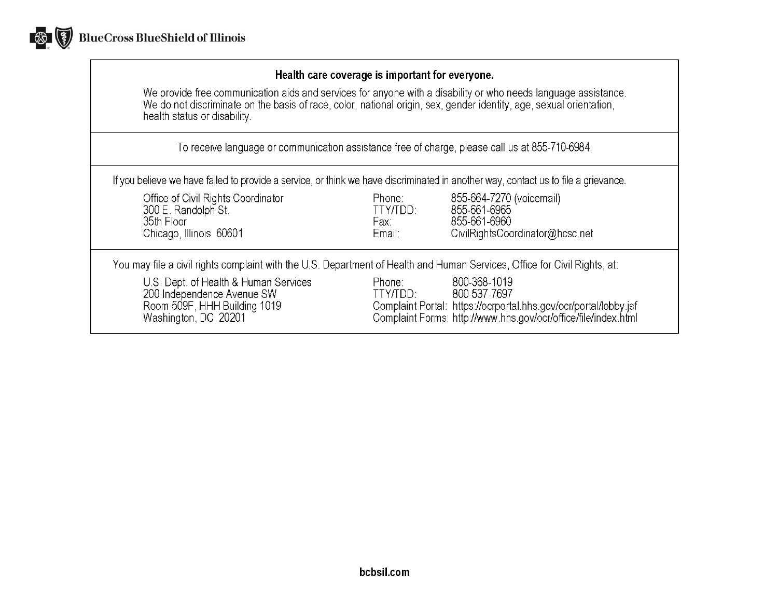

## Health care coverage is important for everyone.

We provide free communication aids and services for anyone with a disability or who needs language assistance.<br>We do not discriminate on the basis of race, color, national origin, sex, gender identity, age, sexual orientat health status or disability.

To receive language or communication assistance free of charge, please call us at 855-710-6984.

If you believe we have failed to provide a service, or think we have discriminated in another way, contact us to file a grievance.

| Office of Civil Rights Coordinator<br>300 E. Randolph St.<br>35th Floor<br>Chicago, Illinois 60601                          | Phone:<br>TTY/TDD:<br>Fax:<br>Email: | 855-664-7270 (voicemail)<br>855-661-6965<br>855-661-6960<br>CivilRightsCoordinator@hcsc.net                                                                        |
|-----------------------------------------------------------------------------------------------------------------------------|--------------------------------------|--------------------------------------------------------------------------------------------------------------------------------------------------------------------|
| You may file a civil rights complaint with the U.S. Department of Health and Human Services, Office for Civil Rights, at:   |                                      |                                                                                                                                                                    |
| U.S. Dept. of Health & Human Services<br>200 Independence Avenue SW<br>Room 509F, HHH Building 1019<br>Washington, DC 20201 | Phone:<br>TTY/TDD:                   | 800-368-1019<br>800-537-7697<br>Complaint Portal: https://ocrportal.hhs.gov/ocr/portal/lobby.jsf<br>Complaint Forms: http://www.hhs.gov/ocr/office/file/index.html |